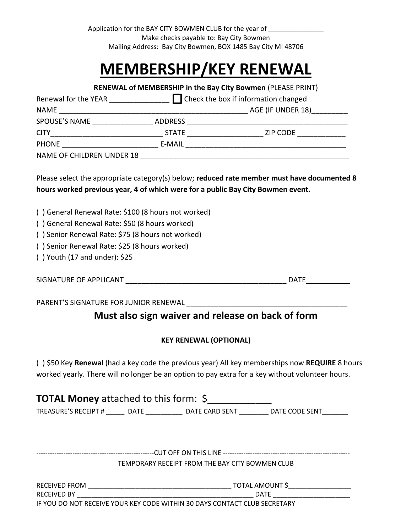Application for the BAY CITY BOWMEN CLUB for the year of \_\_\_\_\_\_\_\_\_\_\_\_\_\_\_\_\_\_\_\_\_\_\_ Make checks payable to: Bay City Bowmen Mailing Address: Bay City Bowmen, BOX 1485 Bay City MI 48706

## **MEMBERSHIP/KEY RENEWAL**

**RENEWAL of MEMBERSHIP in the Bay City Bowmen** (PLEASE PRINT) Renewal for the YEAR \_\_\_\_\_\_\_\_\_\_\_\_\_\_\_ Check the box if information changed NAME \_\_\_\_\_\_\_\_\_\_\_\_\_\_\_\_\_\_\_\_\_\_\_\_\_\_\_\_\_\_\_\_\_\_\_\_\_\_\_\_\_\_\_\_\_\_\_ AGE (IF UNDER 18)\_\_\_\_\_\_\_\_\_ SPOUSE'S NAME \_\_\_\_\_\_\_\_\_\_\_\_\_\_\_ ADDRESS \_\_\_\_\_\_\_\_\_\_\_\_\_\_\_\_\_\_\_\_\_\_\_\_\_\_\_\_\_\_\_\_\_\_\_\_\_\_\_\_ CITY\_\_\_\_\_\_\_\_\_\_\_\_\_\_\_\_\_\_\_\_\_\_\_\_\_\_\_\_ STATE \_\_\_\_\_\_\_\_\_\_\_\_\_\_\_\_\_\_\_ ZIP CODE \_\_\_\_\_\_\_\_\_\_\_\_ PHONE E-MAIL E-MAIL E-MAIL E-MAIL E-MAIL E-MAIL E-MAIL E-MAIL E-MAIL E-MAIL E-MAIL E-MAIL E-MAIL E-MAIL E-MAIL NAME OF CHILDREN UNDER 18 \_\_\_\_\_\_\_\_\_\_\_\_\_\_\_\_\_\_\_\_\_\_\_\_\_\_\_\_\_\_\_\_\_\_\_\_\_\_\_\_\_\_\_\_\_\_\_\_\_\_\_\_

Please select the appropriate category(s) below; **reduced rate member must have documented 8 hours worked previous year, 4 of which were for a public Bay City Bowmen event.**

( ) General Renewal Rate: \$100 (8 hours not worked)

( ) General Renewal Rate: \$50 (8 hours worked)

( ) Senior Renewal Rate: \$75 (8 hours not worked)

( ) Senior Renewal Rate: \$25 (8 hours worked)

( ) Youth (17 and under): \$25

SIGNATURE OF APPLICANT THE SERVICE OF A SERVICE AND SERVICE SERVICE SERVICE SERVICE SERVICE SERVICE SERVICE SE

PARENT'S SIGNATURE FOR JUNIOR RENEWAL \_\_\_\_\_\_\_\_\_\_\_\_\_\_\_\_\_\_\_\_\_\_\_\_\_\_\_\_\_\_\_\_\_\_\_\_\_\_\_\_

## **Must also sign waiver and release on back of form**

## **KEY RENEWAL (OPTIONAL)**

( ) \$50 Key **Renewal** (had a key code the previous year) All key memberships now **REQUIRE** 8 hours worked yearly. There will no longer be an option to pay extra for a key without volunteer hours.

| <b>TOTAL Money</b> attached to this form: \$ |      |                |                |  |
|----------------------------------------------|------|----------------|----------------|--|
| TREASURE'S RECEIPT #                         | DATE | DATE CARD SENT | DATE CODE SENT |  |

----------------------------------------------------CUT OFF ON THIS LINE -------------------------------------------------------- TEMPORARY RECEIPT FROM THE BAY CITY BOWMEN CLUB

RECEIVED FROM \_\_\_\_\_\_\_\_\_\_\_\_\_\_\_\_\_\_\_\_\_\_\_\_\_\_\_\_\_\_\_\_\_\_\_\_\_\_\_ TOTAL AMOUNT \$\_\_\_\_\_\_\_\_\_\_\_\_\_\_\_\_\_ RECEIVED BY THE LOCAL SERVICE OF SALE AND THE LOCAL SERVICE OF SALE AND A LOCAL SERVICE OF SALE AND A LOCAL SERVICE OF SALE AND A LOCAL SERVICE OF SALE AND A LOCAL SERVICE OF SALE AND A LOCAL SERVICE OF SALE AND A LOCAL SE IF YOU DO NOT RECEIVE YOUR KEY CODE WITHIN 30 DAYS CONTACT CLUB SECRETARY